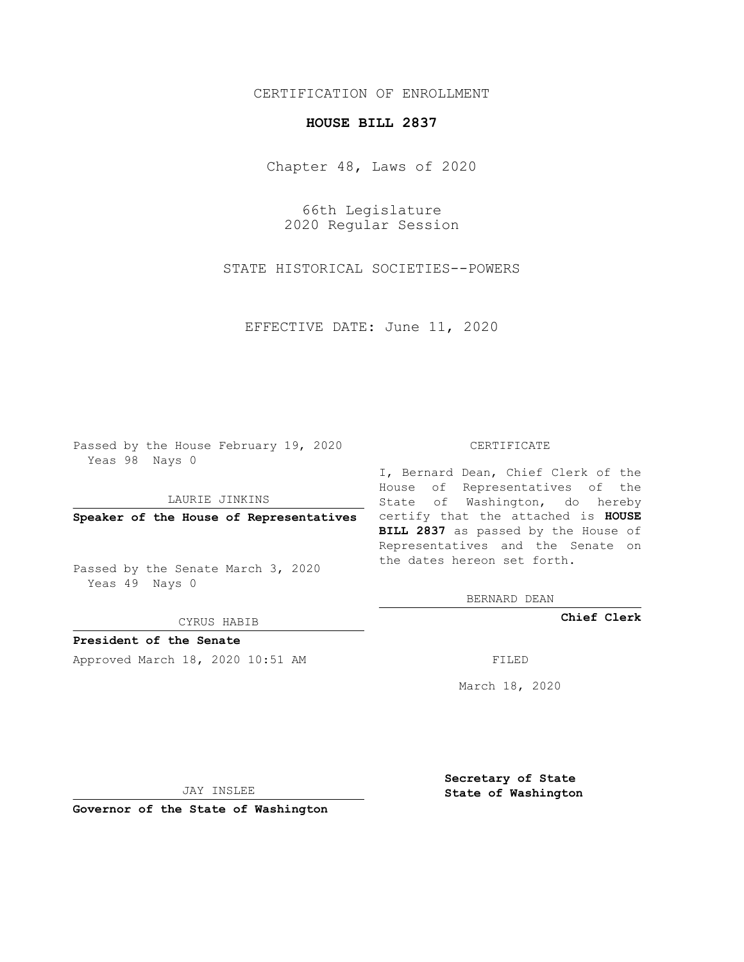## CERTIFICATION OF ENROLLMENT

## **HOUSE BILL 2837**

Chapter 48, Laws of 2020

66th Legislature 2020 Regular Session

STATE HISTORICAL SOCIETIES--POWERS

EFFECTIVE DATE: June 11, 2020

Passed by the House February 19, 2020 Yeas 98 Nays 0

LAURIE JINKINS

Passed by the Senate March 3, 2020 Yeas 49 Nays 0

CYRUS HABIB

**President of the Senate**

Approved March 18, 2020 10:51 AM FILED

## CERTIFICATE

**Speaker of the House of Representatives** certify that the attached is **HOUSE** I, Bernard Dean, Chief Clerk of the House of Representatives of the State of Washington, do hereby **BILL 2837** as passed by the House of Representatives and the Senate on the dates hereon set forth.

BERNARD DEAN

**Chief Clerk**

March 18, 2020

JAY INSLEE

**Governor of the State of Washington**

**Secretary of State State of Washington**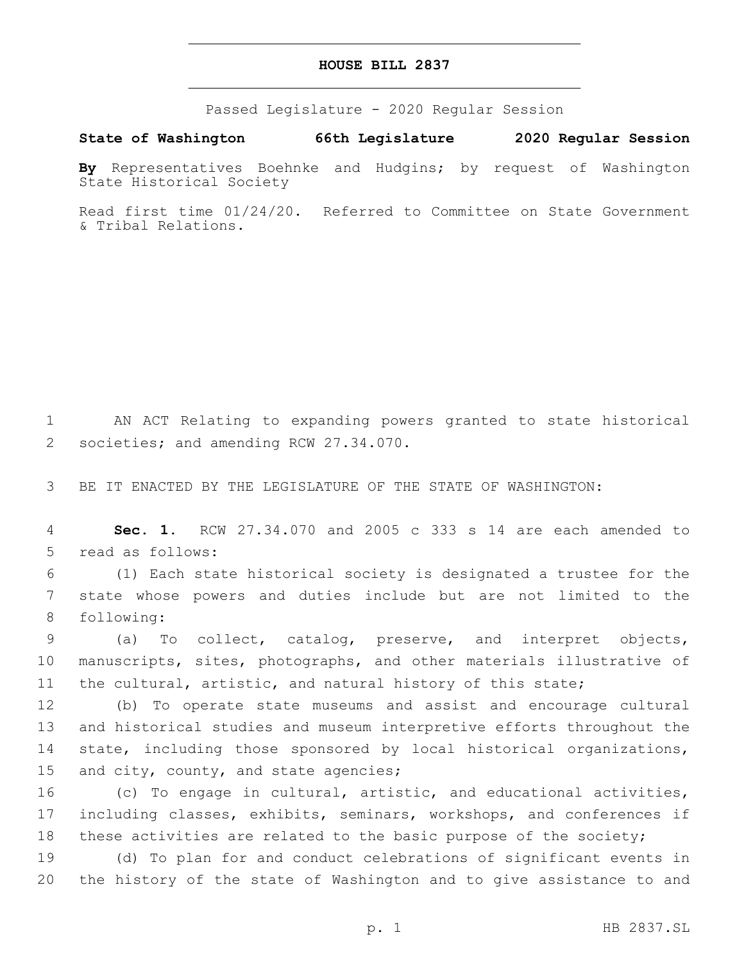## **HOUSE BILL 2837**

Passed Legislature - 2020 Regular Session

**State of Washington 66th Legislature 2020 Regular Session**

**By** Representatives Boehnke and Hudgins; by request of Washington State Historical Society

Read first time 01/24/20. Referred to Committee on State Government & Tribal Relations.

1 AN ACT Relating to expanding powers granted to state historical 2 societies; and amending RCW 27.34.070.

3 BE IT ENACTED BY THE LEGISLATURE OF THE STATE OF WASHINGTON:

4 **Sec. 1.** RCW 27.34.070 and 2005 c 333 s 14 are each amended to 5 read as follows:

6 (1) Each state historical society is designated a trustee for the 7 state whose powers and duties include but are not limited to the 8 following:

9 (a) To collect, catalog, preserve, and interpret objects, 10 manuscripts, sites, photographs, and other materials illustrative of 11 the cultural, artistic, and natural history of this state;

 (b) To operate state museums and assist and encourage cultural and historical studies and museum interpretive efforts throughout the state, including those sponsored by local historical organizations, 15 and city, county, and state agencies;

16 (c) To engage in cultural, artistic, and educational activities, 17 including classes, exhibits, seminars, workshops, and conferences if 18 these activities are related to the basic purpose of the society;

19 (d) To plan for and conduct celebrations of significant events in 20 the history of the state of Washington and to give assistance to and